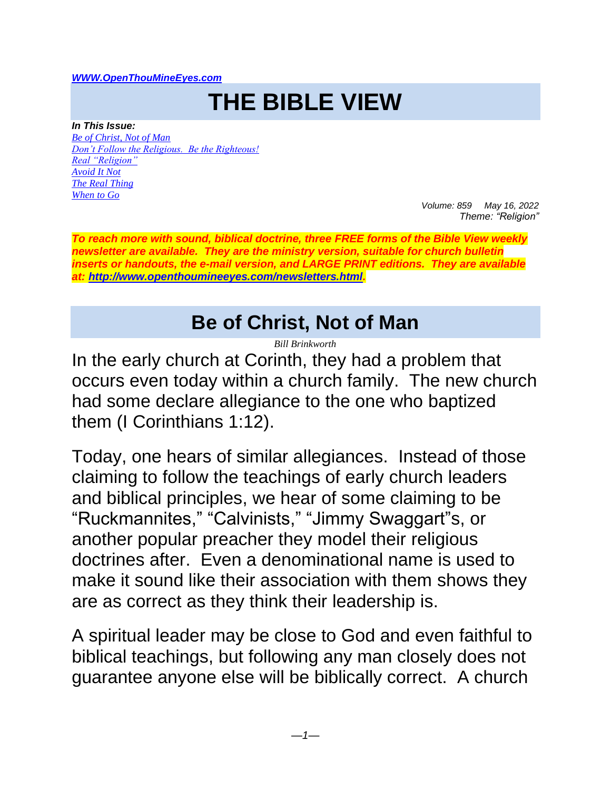#### *[WWW.OpenThouMineEyes.com](http://www.openthoumineeyes.com/)*

# **THE BIBLE VIEW**

*In This Issue: [Be of Christ, Not of Man](#page-0-0) [Don't Follow the Religious. Be the Righteous!](#page-2-0) [Real "Religion"](#page-4-0) [Avoid It Not](#page-4-1) [The Real Thing](#page-5-0) [When to Go](#page-5-1)*

*Volume: 859 May 16, 2022 Theme: "Religion"* 

*To reach more with sound, biblical doctrine, three FREE forms of the Bible View weekly newsletter are available. They are the ministry version, suitable for church bulletin inserts or handouts, the e-mail version, and LARGE PRINT editions. They are available at: [http://www.openthoumineeyes.com/newsletters.html.](http://www.openthoumineeyes.com/newsletters.html)* 

#### **Be of Christ, Not of Man**

*Bill Brinkworth*

<span id="page-0-0"></span>In the early church at Corinth, they had a problem that occurs even today within a church family. The new church had some declare allegiance to the one who baptized them (I Corinthians 1:12).

Today, one hears of similar allegiances. Instead of those claiming to follow the teachings of early church leaders and biblical principles, we hear of some claiming to be "Ruckmannites," "Calvinists," "Jimmy Swaggart"s, or another popular preacher they model their religious doctrines after. Even a denominational name is used to make it sound like their association with them shows they are as correct as they think their leadership is.

A spiritual leader may be close to God and even faithful to biblical teachings, but following any man closely does not guarantee anyone else will be biblically correct. A church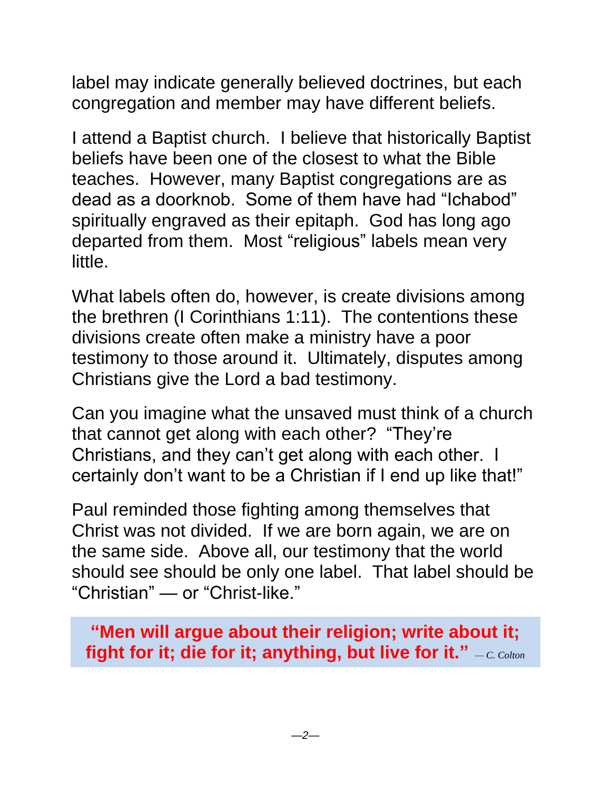label may indicate generally believed doctrines, but each congregation and member may have different beliefs.

I attend a Baptist church. I believe that historically Baptist beliefs have been one of the closest to what the Bible teaches. However, many Baptist congregations are as dead as a doorknob. Some of them have had "Ichabod" spiritually engraved as their epitaph. God has long ago departed from them. Most "religious" labels mean very little.

What labels often do, however, is create divisions among the brethren (I Corinthians 1:11). The contentions these divisions create often make a ministry have a poor testimony to those around it. Ultimately, disputes among Christians give the Lord a bad testimony.

Can you imagine what the unsaved must think of a church that cannot get along with each other? "They're Christians, and they can't get along with each other. I certainly don't want to be a Christian if I end up like that!"

Paul reminded those fighting among themselves that Christ was not divided. If we are born again, we are on the same side. Above all, our testimony that the world should see should be only one label. That label should be "Christian" — or "Christ-like."

**"Men will argue about their religion; write about it; fight for it; die for it; anything, but live for it."** *— C. Colton*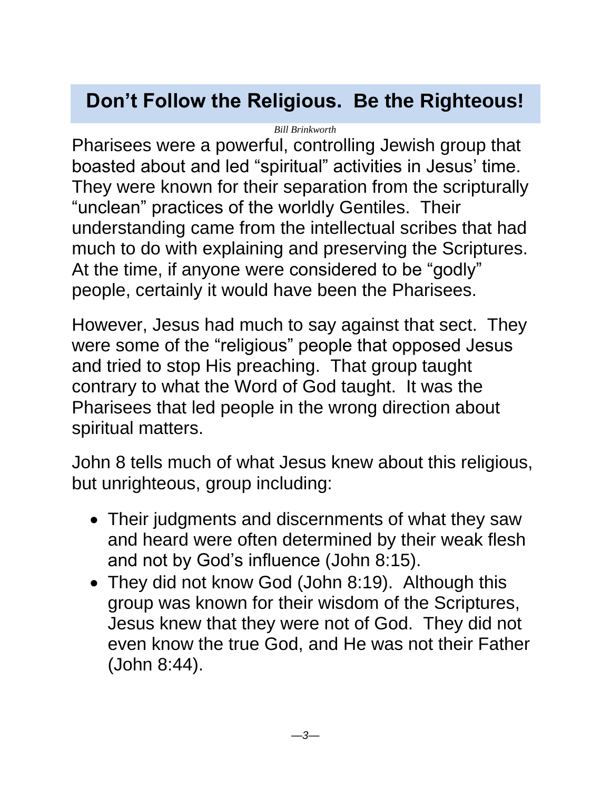## <span id="page-2-0"></span>**Don't Follow the Religious. Be the Righteous!**

*Bill Brinkworth*

Pharisees were a powerful, controlling Jewish group that boasted about and led "spiritual" activities in Jesus' time. They were known for their separation from the scripturally "unclean" practices of the worldly Gentiles. Their understanding came from the intellectual scribes that had much to do with explaining and preserving the Scriptures. At the time, if anyone were considered to be "godly" people, certainly it would have been the Pharisees.

However, Jesus had much to say against that sect. They were some of the "religious" people that opposed Jesus and tried to stop His preaching. That group taught contrary to what the Word of God taught. It was the Pharisees that led people in the wrong direction about spiritual matters.

John 8 tells much of what Jesus knew about this religious, but unrighteous, group including:

- Their judgments and discernments of what they saw and heard were often determined by their weak flesh and not by God's influence (John 8:15).
- They did not know God (John 8:19). Although this group was known for their wisdom of the Scriptures, Jesus knew that they were not of God. They did not even know the true God, and He was not their Father (John 8:44).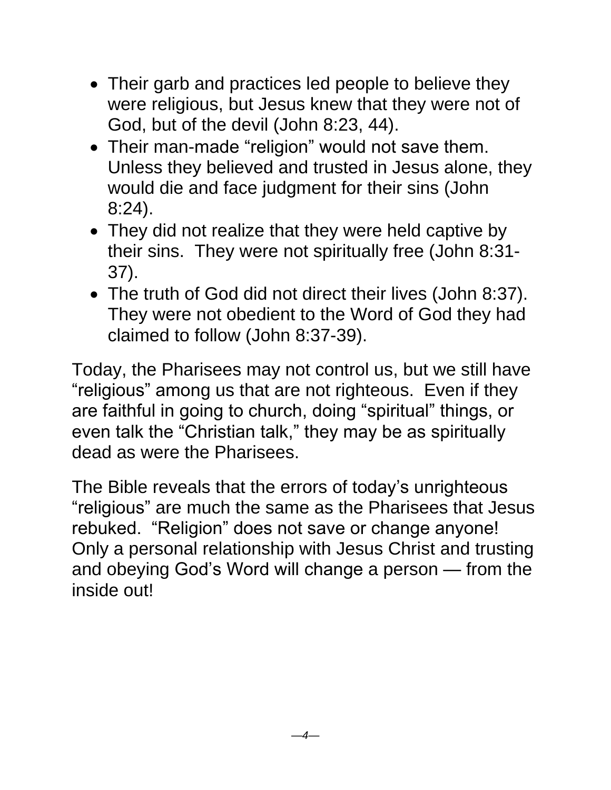- Their garb and practices led people to believe they were religious, but Jesus knew that they were not of God, but of the devil (John 8:23, 44).
- Their man-made "religion" would not save them. Unless they believed and trusted in Jesus alone, they would die and face judgment for their sins (John 8:24).
- They did not realize that they were held captive by their sins. They were not spiritually free (John 8:31- 37).
- The truth of God did not direct their lives (John 8:37). They were not obedient to the Word of God they had claimed to follow (John 8:37-39).

Today, the Pharisees may not control us, but we still have "religious" among us that are not righteous. Even if they are faithful in going to church, doing "spiritual" things, or even talk the "Christian talk," they may be as spiritually dead as were the Pharisees.

The Bible reveals that the errors of today's unrighteous "religious" are much the same as the Pharisees that Jesus rebuked. "Religion" does not save or change anyone! Only a personal relationship with Jesus Christ and trusting and obeying God's Word will change a person — from the inside out!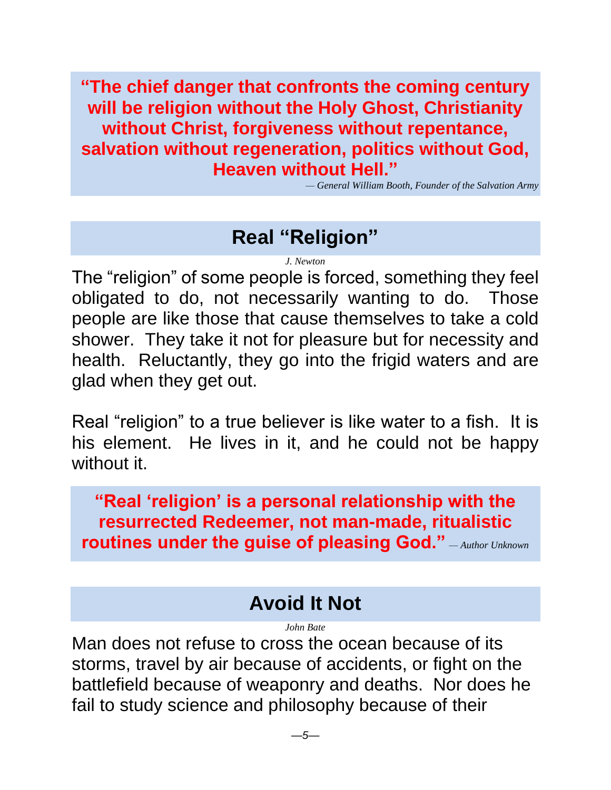**"The chief danger that confronts the coming century will be religion without the Holy Ghost, Christianity without Christ, forgiveness without repentance, salvation without regeneration, politics without God, Heaven without Hell."**

*— General William Booth, Founder of the Salvation Army*

## **Real "Religion"**

*J. Newton*

<span id="page-4-0"></span>The "religion" of some people is forced, something they feel obligated to do, not necessarily wanting to do. Those people are like those that cause themselves to take a cold shower. They take it not for pleasure but for necessity and health. Reluctantly, they go into the frigid waters and are glad when they get out.

Real "religion" to a true believer is like water to a fish. It is his element. He lives in it, and he could not be happy without it.

**"Real 'religion' is a personal relationship with the resurrected Redeemer, not man-made, ritualistic routines under the guise of pleasing God."** *— Author Unknown*

### **Avoid It Not**

*John Bate*

<span id="page-4-1"></span>Man does not refuse to cross the ocean because of its storms, travel by air because of accidents, or fight on the battlefield because of weaponry and deaths. Nor does he fail to study science and philosophy because of their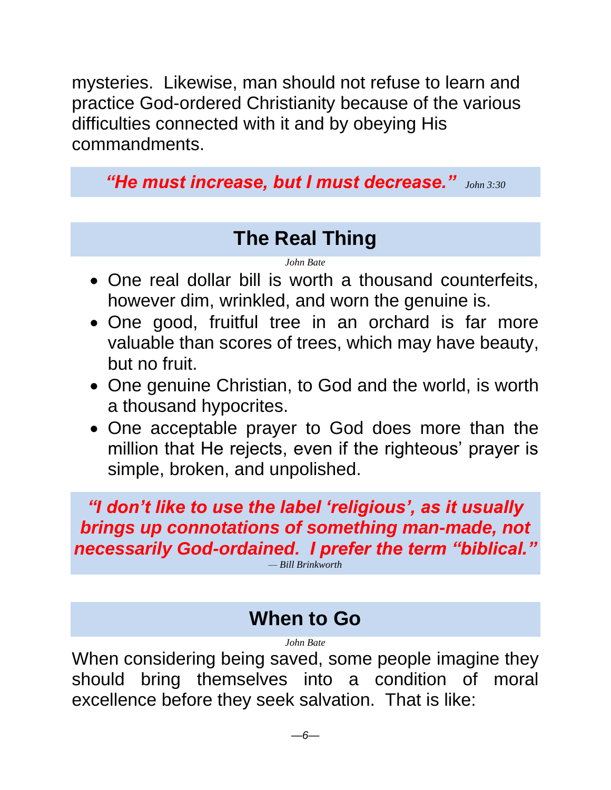mysteries. Likewise, man should not refuse to learn and practice God-ordered Christianity because of the various difficulties connected with it and by obeying His commandments.

*"He must increase, but I must decrease." John 3:30*

## **The Real Thing**

#### *John Bate*

- <span id="page-5-0"></span>• One real dollar bill is worth a thousand counterfeits, however dim, wrinkled, and worn the genuine is.
- One good, fruitful tree in an orchard is far more valuable than scores of trees, which may have beauty, but no fruit.
- One genuine Christian, to God and the world, is worth a thousand hypocrites.
- One acceptable prayer to God does more than the million that He rejects, even if the righteous' prayer is simple, broken, and unpolished.

*"I don't like to use the label 'religious', as it usually brings up connotations of something man-made, not necessarily God-ordained. I prefer the term "biblical."*

*— Bill Brinkworth*

### **When to Go**

*John Bate*

<span id="page-5-1"></span>When considering being saved, some people imagine they should bring themselves into a condition of moral excellence before they seek salvation. That is like: